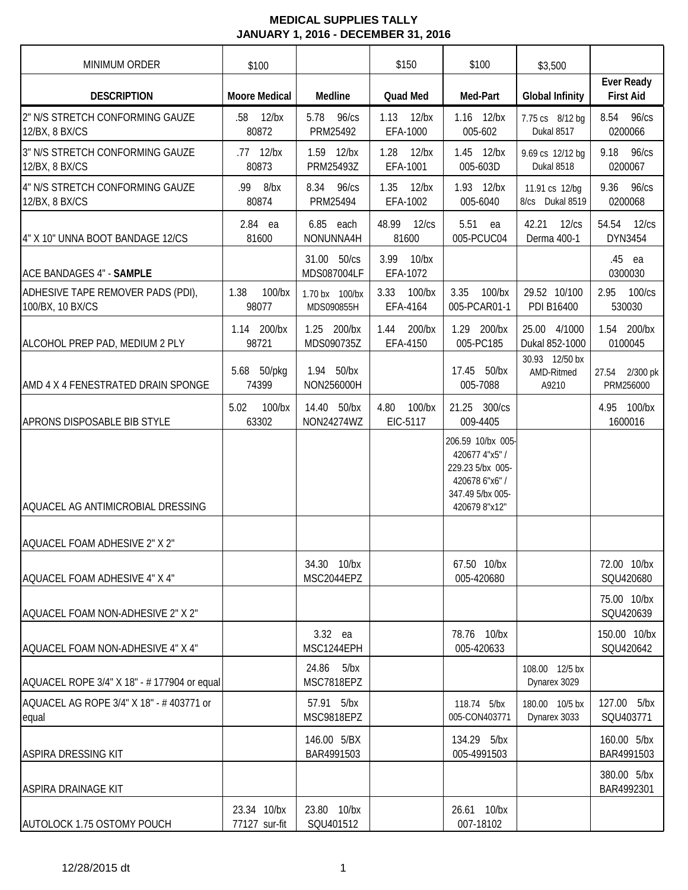| <b>MINIMUM ORDER</b>                                  | \$100                        |                              | \$150                         | \$100                                                                                                          | \$3,500                               |                                       |
|-------------------------------------------------------|------------------------------|------------------------------|-------------------------------|----------------------------------------------------------------------------------------------------------------|---------------------------------------|---------------------------------------|
| <b>DESCRIPTION</b>                                    | <b>Moore Medical</b>         | Medline                      | Quad Med                      | Med-Part                                                                                                       | <b>Global Infinity</b>                | <b>Ever Ready</b><br><b>First Aid</b> |
| 2" N/S STRETCH CONFORMING GAUZE<br>12/BX, 8 BX/CS     | $12$ /bx<br>.58<br>80872     | 5.78<br>96/cs<br>PRM25492    | 1.13<br>$12$ /bx<br>EFA-1000  | 1.16 12/bx<br>005-602                                                                                          | 7.75 cs 8/12 bg<br>Dukal 8517         | 8.54<br>96/cs<br>0200066              |
| 3" N/S STRETCH CONFORMING GAUZE<br>12/BX, 8 BX/CS     | .77 12/bx<br>80873           | 1.59 12/bx<br>PRM25493Z      | 1.28<br>$12$ /bx<br>EFA-1001  | 1.45 12/bx<br>005-603D                                                                                         | 9.69 cs 12/12 bg<br>Dukal 8518        | 9.18 96/cs<br>0200067                 |
| 4" N/S STRETCH CONFORMING GAUZE<br>12/BX, 8 BX/CS     | .99 8/bx<br>80874            | 8.34 96/cs<br>PRM25494       | 1.35<br>$12$ /bx<br>EFA-1002  | 1.93 12/bx<br>005-6040                                                                                         | 11.91 cs 12/bg<br>8/cs Dukal 8519     | 9.36<br>96/cs<br>0200068              |
| 4" X 10" UNNA BOOT BANDAGE 12/CS                      | 2.84 ea<br>81600             | 6.85 each<br>NONUNNA4H       | 48.99<br>12/cs<br>81600       | 5.51<br>ea<br>005-PCUC04                                                                                       | 42.21<br>12/cs<br>Derma 400-1         | 54.54<br>12/cs<br>DYN3454             |
| <b>ACE BANDAGES 4" - SAMPLE</b>                       |                              | 31.00 50/cs<br>MDS087004LF   | 3.99<br>$10$ /bx<br>EFA-1072  |                                                                                                                |                                       | .45 ea<br>0300030                     |
| ADHESIVE TAPE REMOVER PADS (PDI),<br>100/BX, 10 BX/CS | 1.38<br>100/bx<br>98077      | 1.70 bx 100/bx<br>MDS090855H | 3.33<br>$100$ /bx<br>EFA-4164 | 3.35<br>$100$ /bx<br>005-PCAR01-1                                                                              | 29.52 10/100<br>PDI B16400            | 2.95<br>$100$ / $cs$<br>530030        |
| ALCOHOL PREP PAD, MEDIUM 2 PLY                        | 1.14 200/bx<br>98721         | 1.25 200/bx<br>MDS090735Z    | 200/bx<br>1.44<br>EFA-4150    | 1.29 200/bx<br>005-PC185                                                                                       | 25.00 4/1000<br>Dukal 852-1000        | 1.54 200/bx<br>0100045                |
| AMD 4 X 4 FENESTRATED DRAIN SPONGE                    | 5.68 50/pkg<br>74399         | 1.94 50/bx<br>NON256000H     |                               | 17.45 50/bx<br>005-7088                                                                                        | 30.93 12/50 bx<br>AMD-Ritmed<br>A9210 | 2/300 pk<br>27.54<br>PRM256000        |
| APRONS DISPOSABLE BIB STYLE                           | 5.02<br>100/bx<br>63302      | 14.40 50/bx<br>NON24274WZ    | 4.80<br>$100$ /bx<br>EIC-5117 | 21.25 300/cs<br>009-4405                                                                                       |                                       | 4.95 100/bx<br>1600016                |
| AQUACEL AG ANTIMICROBIAL DRESSING                     |                              |                              |                               | 206.59 10/bx 005-<br>420677 4"x5" /<br>229.23 5/bx 005-<br>420678 6"x6" /<br>347.49 5/bx 005-<br>420679 8"x12" |                                       |                                       |
| AQUACEL FOAM ADHESIVE 2" X 2"                         |                              |                              |                               |                                                                                                                |                                       |                                       |
| AQUACEL FOAM ADHESIVE 4" X 4"                         |                              | 34.30 10/bx<br>MSC2044EPZ    |                               | 67.50 10/bx<br>005-420680                                                                                      |                                       | 72.00 10/bx<br>SQU420680              |
| AQUACEL FOAM NON-ADHESIVE 2" X 2"                     |                              |                              |                               |                                                                                                                |                                       | 75.00 10/bx<br>SQU420639              |
| AQUACEL FOAM NON-ADHESIVE 4" X 4"                     |                              | 3.32 ea<br>MSC1244EPH        |                               | 78.76 10/bx<br>005-420633                                                                                      |                                       | 150.00 10/bx<br>SQU420642             |
| AQUACEL ROPE 3/4" X 18" - # 177904 or equal           |                              | 24.86 5/bx<br>MSC7818EPZ     |                               |                                                                                                                | 108.00 12/5 bx<br>Dynarex 3029        |                                       |
| AQUACEL AG ROPE 3/4" X 18" - # 403771 or<br>equal     |                              | 57.91 5/bx<br>MSC9818EPZ     |                               | 118.74 5/bx<br>005-CON403771                                                                                   | 180.00 10/5 bx<br>Dynarex 3033        | 127.00 5/bx<br>SQU403771              |
| <b>ASPIRA DRESSING KIT</b>                            |                              | 146.00 5/BX<br>BAR4991503    |                               | 134.29 5/bx<br>005-4991503                                                                                     |                                       | 160.00 5/bx<br>BAR4991503             |
| ASPIRA DRAINAGE KIT                                   |                              |                              |                               |                                                                                                                |                                       | 380.00 5/bx<br>BAR4992301             |
| AUTOLOCK 1.75 OSTOMY POUCH                            | 23.34 10/bx<br>77127 sur-fit | 23.80 10/bx<br>SQU401512     |                               | 26.61 10/bx<br>007-18102                                                                                       |                                       |                                       |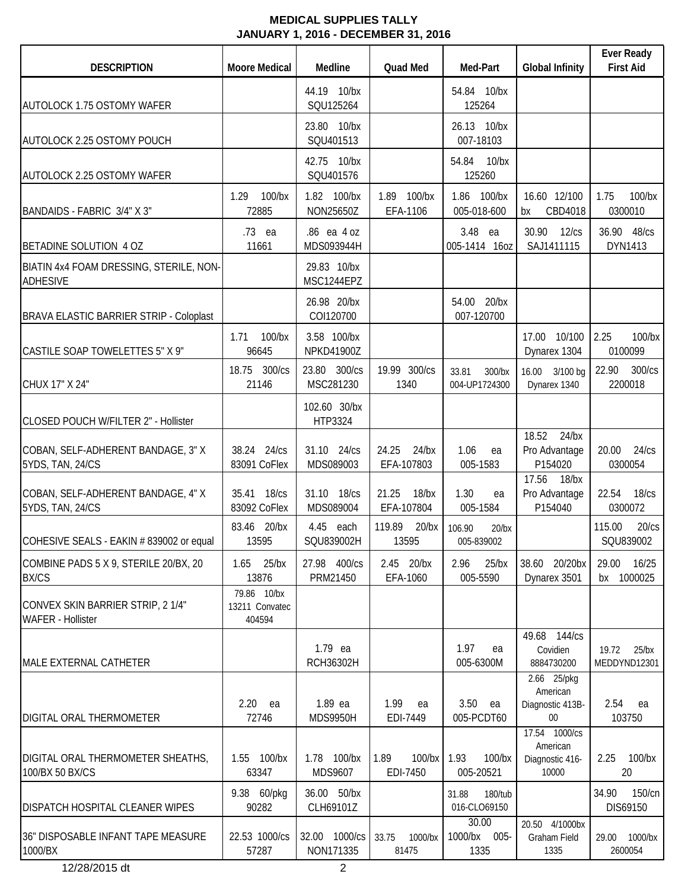| <b>DESCRIPTION</b>                                           | <b>Moore Medical</b>                    | Medline                          | <b>Quad Med</b>                 | Med-Part                         | <b>Global Infinity</b>                        | <b>Ever Ready</b><br><b>First Aid</b> |
|--------------------------------------------------------------|-----------------------------------------|----------------------------------|---------------------------------|----------------------------------|-----------------------------------------------|---------------------------------------|
| <b>AUTOLOCK 1.75 OSTOMY WAFER</b>                            |                                         | 44.19 10/bx<br>SQU125264         |                                 | 54.84 10/bx<br>125264            |                                               |                                       |
| AUTOLOCK 2.25 OSTOMY POUCH                                   |                                         | 23.80 10/bx<br>SQU401513         |                                 | 26.13 10/bx<br>007-18103         |                                               |                                       |
| <b>AUTOLOCK 2.25 OSTOMY WAFER</b>                            |                                         | 42.75 10/bx<br>SQU401576         |                                 | 10/bx<br>54.84<br>125260         |                                               |                                       |
| BANDAIDS - FABRIC 3/4" X 3"                                  | 1.29<br>100/bx<br>72885                 | 1.82 100/bx<br>NON25650Z         | 1.89 100/bx<br>EFA-1106         | 1.86 100/bx<br>005-018-600       | 16.60 12/100<br>CBD4018<br>bx                 | $100$ /bx<br>1.75<br>0300010          |
| BETADINE SOLUTION 4 OZ                                       | .73 ea<br>11661                         | .86 ea 4 oz<br>MDS093944H        |                                 | 3.48 ea<br>005-1414 16oz         | 30.90<br>12/cs<br>SAJ1411115                  | 36.90 48/cs<br>DYN1413                |
| BIATIN 4x4 FOAM DRESSING, STERILE, NON-<br><b>ADHESIVE</b>   |                                         | 29.83 10/bx<br>MSC1244EPZ        |                                 |                                  |                                               |                                       |
| <b>BRAVA ELASTIC BARRIER STRIP - Coloplast</b>               |                                         | 26.98 20/bx<br>COI120700         |                                 | 54.00 20/bx<br>007-120700        |                                               |                                       |
| CASTILE SOAP TOWELETTES 5" X 9"                              | 100/bx<br>1.71<br>96645                 | 3.58 100/bx<br><b>NPKD41900Z</b> |                                 |                                  | 17.00 10/100<br>Dynarex 1304                  | 2.25<br>$100$ /bx<br>0100099          |
| CHUX 17" X 24"                                               | 18.75 300/cs<br>21146                   | 23.80 300/cs<br>MSC281230        | 19.99 300/cs<br>1340            | 33.81<br>300/bx<br>004-UP1724300 | 16.00 3/100 bg<br>Dynarex 1340                | 22.90<br>300/cs<br>2200018            |
| CLOSED POUCH W/FILTER 2" - Hollister                         |                                         | 102.60 30/bx<br>HTP3324          |                                 |                                  |                                               |                                       |
| COBAN, SELF-ADHERENT BANDAGE, 3" X<br>5YDS, TAN, 24/CS       | 38.24 24/cs<br>83091 CoFlex             | 31.10 24/cs<br>MDS089003         | 24.25<br>$24$ /bx<br>EFA-107803 | 1.06<br>ea<br>005-1583           | 18.52<br>$24$ /bx<br>Pro Advantage<br>P154020 | 20.00<br>24/cs<br>0300054             |
| COBAN, SELF-ADHERENT BANDAGE, 4" X<br>5YDS, TAN, 24/CS       | 35.41 18/cs<br>83092 CoFlex             | 31.10 18/cs<br>MDS089004         | 21.25<br>$18$ /bx<br>EFA-107804 | 1.30<br>ea<br>005-1584           | 17.56<br>$18$ /bx<br>Pro Advantage<br>P154040 | 22.54<br>18/cs<br>0300072             |
| COHESIVE SEALS - EAKIN # 839002 or equal                     | 83.46 20/bx<br>13595                    | 4.45<br>each<br>SQU839002H       | 119.89<br>$20$ /bx<br>13595     | 106.90<br>$20$ /bx<br>005-839002 |                                               | 20/cs<br>115.00<br>SQU839002          |
| COMBINE PADS 5 X 9, STERILE 20/BX, 20<br><b>BX/CS</b>        | $1.65$ 25/bx<br>13876                   | 27.98 400/cs<br>PRM21450         | 2.45 20/bx<br>EFA-1060          | 2.96<br>$25$ /bx<br>005-5590     | 38.60 20/20bx<br>Dynarex 3501                 | 29.00<br>16/25<br>1000025<br>bx       |
| CONVEX SKIN BARRIER STRIP, 21/4"<br><b>WAFER - Hollister</b> | 79.86 10/bx<br>13211 Convatec<br>404594 |                                  |                                 |                                  |                                               |                                       |
| MALE EXTERNAL CATHETER                                       |                                         | 1.79 ea<br>RCH36302H             |                                 | 1.97<br>ea<br>005-6300M          | 49.68 144/cs<br>Covidien<br>8884730200        | 19.72<br>$25$ /bx<br>MEDDYND12301     |
|                                                              | 2.20<br>ea                              | 1.89 ea                          | 1.99<br>ea                      | 3.50<br>ea                       | 2.66 25/pkg<br>American<br>Diagnostic 413B-   | 2.54<br>ea                            |
| DIGITAL ORAL THERMOMETER                                     | 72746                                   | <b>MDS9950H</b>                  | EDI-7449                        | 005-PCDT60                       | $00\,$<br>17.54 1000/cs                       | 103750                                |
| DIGITAL ORAL THERMOMETER SHEATHS,<br>100/BX 50 BX/CS         | 1.55 100/bx<br>63347                    | 1.78 100/bx<br>MDS9607           | 1.89<br>$100$ /bx<br>EDI-7450   | 1.93<br>100/bx<br>005-20521      | American<br>Diagnostic 416-<br>10000          | $100$ /bx<br>2.25<br>20               |
| DISPATCH HOSPITAL CLEANER WIPES                              | 9.38 60/pkg<br>90282                    | 36.00 50/bx<br>CLH69101Z         |                                 | 31.88<br>180/tub<br>016-CLO69150 |                                               | 34.90<br>150/cn<br>DIS69150           |
| 36" DISPOSABLE INFANT TAPE MEASURE<br>1000/BX                | 22.53 1000/cs<br>57287                  | 32.00 1000/cs<br>NON171335       | 33.75<br>1000/bx<br>81475       | 30.00<br>1000/bx 005-<br>1335    | 20.50 4/1000bx<br>Graham Field<br>1335        | 1000/bx<br>29.00<br>2600054           |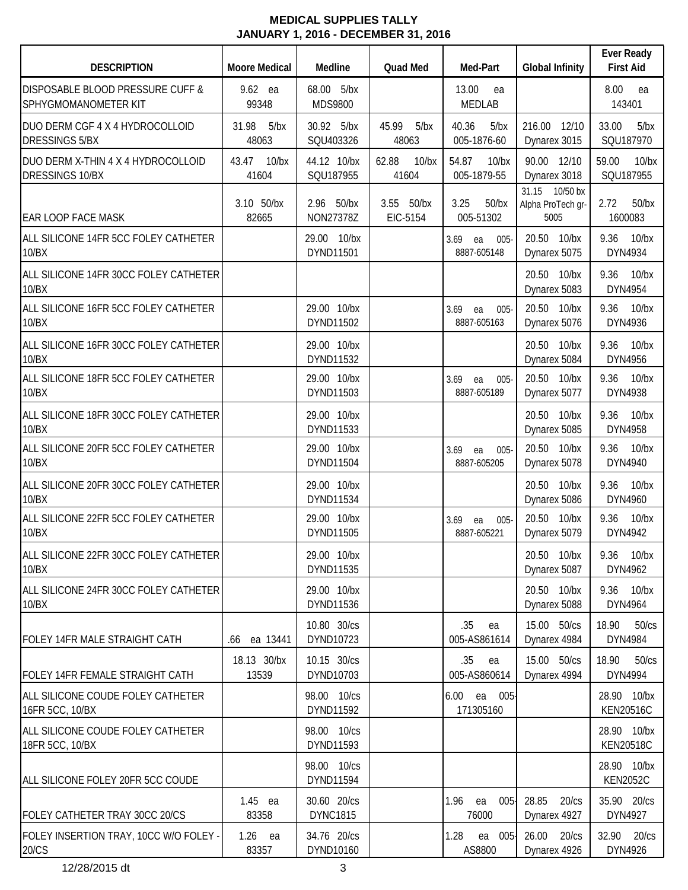| <b>DESCRIPTION</b>                                           | <b>Moore Medical</b>    | Medline                        | <b>Quad Med</b>              | Med-Part                             | <b>Global Infinity</b>                      | <b>Ever Ready</b><br><b>First Aid</b> |
|--------------------------------------------------------------|-------------------------|--------------------------------|------------------------------|--------------------------------------|---------------------------------------------|---------------------------------------|
| DISPOSABLE BLOOD PRESSURE CUFF &<br>SPHYGMOMANOMETER KIT     | 9.62 ea<br>99348        | 68.00<br>5/bx<br>MDS9800       |                              | 13.00<br>ea<br><b>MEDLAB</b>         |                                             | 8.00<br>ea<br>143401                  |
| DUO DERM CGF 4 X 4 HYDROCOLLOID<br><b>DRESSINGS 5/BX</b>     | 5/bx<br>31.98<br>48063  | 30.92 5/bx<br>SQU403326        | 45.99<br>5/bx<br>48063       | 40.36<br>5/bx<br>005-1876-60         | 216.00 12/10<br>Dynarex 3015                | 33.00<br>5/bx<br>SQU187970            |
| DUO DERM X-THIN 4 X 4 HYDROCOLLOID<br><b>DRESSINGS 10/BX</b> | 10/bx<br>43.47<br>41604 | 44.12 10/bx<br>SQU187955       | 62.88<br>10/bx<br>41604      | 54.87<br>$10$ /bx<br>005-1879-55     | 90.00 12/10<br>Dynarex 3018                 | $10$ /bx<br>59.00<br>SQU187955        |
| <b>EAR LOOP FACE MASK</b>                                    | 3.10 50/bx<br>82665     | 2.96 50/bx<br>NON27378Z        | 3.55<br>$50$ /bx<br>EIC-5154 | 3.25<br>$50$ /bx<br>005-51302        | 31.15 10/50 bx<br>Alpha ProTech gr-<br>5005 | 2.72<br>$50$ /bx<br>1600083           |
| ALL SILICONE 14FR 5CC FOLEY CATHETER<br>10/BX                |                         | 29.00 10/bx<br>DYND11501       |                              | 3.69<br>$005 -$<br>ea<br>8887-605148 | 20.50 10/bx<br>Dynarex 5075                 | $10$ /bx<br>9.36<br>DYN4934           |
| ALL SILICONE 14FR 30CC FOLEY CATHETER<br>10/BX               |                         |                                |                              |                                      | 20.50 10/bx<br>Dynarex 5083                 | $10$ /bx<br>9.36<br>DYN4954           |
| ALL SILICONE 16FR 5CC FOLEY CATHETER<br>10/BX                |                         | 29.00 10/bx<br>DYND11502       |                              | 3.69<br>$005 -$<br>ea<br>8887-605163 | 20.50<br>$10$ /bx<br>Dynarex 5076           | $10$ /bx<br>9.36<br>DYN4936           |
| ALL SILICONE 16FR 30CC FOLEY CATHETER<br>10/BX               |                         | 29.00 10/bx<br>DYND11532       |                              |                                      | 20.50<br>$10$ / $bx$<br>Dynarex 5084        | $10$ /bx<br>9.36<br>DYN4956           |
| ALL SILICONE 18FR 5CC FOLEY CATHETER<br>10/BX                |                         | 29.00 10/bx<br>DYND11503       |                              | 3.69<br>$005 -$<br>ea<br>8887-605189 | 20.50<br>$10$ /bx<br>Dynarex 5077           | 9.36<br>$10$ /bx<br>DYN4938           |
| ALL SILICONE 18FR 30CC FOLEY CATHETER<br>10/BX               |                         | 29.00 10/bx<br>DYND11533       |                              |                                      | 20.50<br>$10$ /bx<br>Dynarex 5085           | 9.36<br>$10$ /bx<br>DYN4958           |
| ALL SILICONE 20FR 5CC FOLEY CATHETER<br>10/BX                |                         | 29.00 10/bx<br>DYND11504       |                              | 3.69<br>$005 -$<br>ea<br>8887-605205 | 20.50<br>$10$ /bx<br>Dynarex 5078           | $10$ /bx<br>9.36<br>DYN4940           |
| ALL SILICONE 20FR 30CC FOLEY CATHETER<br>10/BX               |                         | 29.00 10/bx<br>DYND11534       |                              |                                      | 20.50<br>$10$ /bx<br>Dynarex 5086           | $10$ /bx<br>9.36<br>DYN4960           |
| ALL SILICONE 22FR 5CC FOLEY CATHETER<br>10/BX                |                         | 29.00 10/bx<br>DYND11505       |                              | 3.69<br>ea<br>$005 -$<br>8887-605221 | 20.50 10/bx<br>Dynarex 5079                 | 9.36<br>$10$ /bx<br>DYN4942           |
| ALL SILICONE 22FR 30CC FOLEY CATHETER<br>10/BX               |                         | 29.00 10/bx<br>DYND11535       |                              |                                      | 20.50 10/bx<br>Dynarex 5087                 | 9.36<br>10/bx<br>DYN4962              |
| ALL SILICONE 24FR 30CC FOLEY CATHETER<br>10/BX               |                         | 29.00 10/bx<br>DYND11536       |                              |                                      | 20.50 10/bx<br>Dynarex 5088                 | 9.36<br>$10$ /bx<br>DYN4964           |
| FOLEY 14FR MALE STRAIGHT CATH                                | ea 13441<br>.66         | 10.80 30/cs<br>DYND10723       |                              | .35<br>ea<br>005-AS861614            | 15.00 50/cs<br>Dynarex 4984                 | 18.90<br>50/cs<br>DYN4984             |
| FOLEY 14FR FEMALE STRAIGHT CATH                              | 18.13 30/bx<br>13539    | 10.15 30/cs<br>DYND10703       |                              | .35<br>ea<br>005-AS860614            | 15.00 50/cs<br>Dynarex 4994                 | 18.90<br>50/cs<br>DYN4994             |
| ALL SILICONE COUDE FOLEY CATHETER<br>16FR 5CC, 10/BX         |                         | 98.00 10/cs<br>DYND11592       |                              | 6.00<br>ea 005-<br>171305160         |                                             | 28.90 10/bx<br><b>KEN20516C</b>       |
| ALL SILICONE COUDE FOLEY CATHETER<br>18FR 5CC, 10/BX         |                         | 98.00 10/cs<br>DYND11593       |                              |                                      |                                             | 28.90 10/bx<br><b>KEN20518C</b>       |
| ALL SILICONE FOLEY 20FR 5CC COUDE                            |                         | 98.00 10/cs<br>DYND11594       |                              |                                      |                                             | 28.90 10/bx<br><b>KEN2052C</b>        |
| FOLEY CATHETER TRAY 30CC 20/CS                               | $1.45$ ea<br>83358      | 30.60 20/cs<br><b>DYNC1815</b> |                              | $005-$<br>1.96<br>ea<br>76000        | 28.85<br>20/cs<br>Dynarex 4927              | 35.90 20/cs<br>DYN4927                |
| FOLEY INSERTION TRAY, 10CC W/O FOLEY -<br>20/CS              | 1.26<br>ea<br>83357     | 34.76 20/cs<br>DYND10160       |                              | 1.28<br>$005 -$<br>ea<br>AS8800      | 26.00<br>20/cs<br>Dynarex 4926              | 32.90<br>20/cs<br>DYN4926             |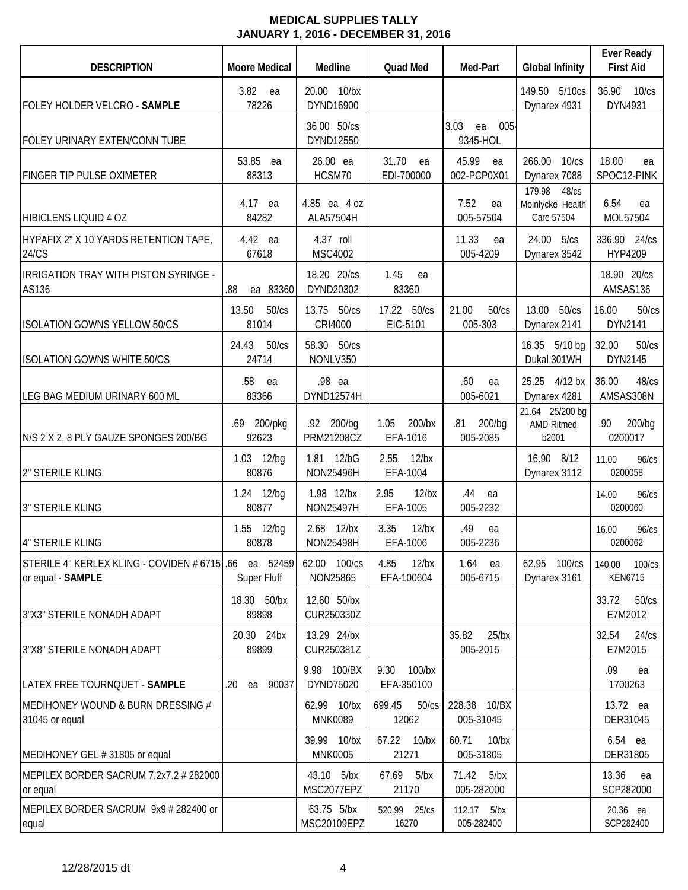| <b>DESCRIPTION</b>                                                        | <b>Moore Medical</b>    | Medline                              | <b>Quad Med</b>                 | Med-Part                          | <b>Global Infinity</b>                            | <b>Ever Ready</b><br><b>First Aid</b> |
|---------------------------------------------------------------------------|-------------------------|--------------------------------------|---------------------------------|-----------------------------------|---------------------------------------------------|---------------------------------------|
| FOLEY HOLDER VELCRO - SAMPLE                                              | 3.82<br>ea<br>78226     | 20.00 10/bx<br>DYND16900             |                                 |                                   | 149.50 5/10cs<br>Dynarex 4931                     | 36.90<br>$10$ / $cs$<br>DYN4931       |
| FOLEY URINARY EXTEN/CONN TUBE                                             |                         | 36.00 50/cs<br>DYND12550             |                                 | 3.03<br>$005 -$<br>ea<br>9345-HOL |                                                   |                                       |
| FINGER TIP PULSE OXIMETER                                                 | 53.85 ea<br>88313       | 26.00 ea<br>HCSM70                   | 31.70<br>ea<br>EDI-700000       | 45.99<br>ea<br>002-PCP0X01        | 266.00 10/cs<br>Dynarex 7088                      | 18.00<br>ea<br>SPOC12-PINK            |
| <b>HIBICLENS LIQUID 4 OZ</b>                                              | 4.17 ea<br>84282        | 4.85 ea 4 oz<br>ALA57504H            |                                 | 7.52<br>ea<br>005-57504           | 179.98<br>48/cs<br>Molnlycke Health<br>Care 57504 | 6.54<br>ea<br>MOL57504                |
| HYPAFIX 2" X 10 YARDS RETENTION TAPE,<br>24/CS                            | 4.42 ea<br>67618        | 4.37 roll<br><b>MSC4002</b>          |                                 | 11.33<br>ea<br>005-4209           | 24.00 5/cs<br>Dynarex 3542                        | 336.90 24/cs<br>HYP4209               |
| IRRIGATION TRAY WITH PISTON SYRINGE -<br>AS136                            | .88<br>ea 83360         | 18.20 20/cs<br>DYND20302             | 1.45<br>ea<br>83360             |                                   |                                                   | 18.90 20/cs<br>AMSAS136               |
| <b>ISOLATION GOWNS YELLOW 50/CS</b>                                       | 13.50<br>50/cs<br>81014 | 13.75 50/cs<br>CRI4000               | 17.22 50/cs<br>EIC-5101         | 21.00<br>50/cs<br>005-303         | 13.00 50/cs<br>Dynarex 2141                       | 16.00<br>50/cs<br>DYN2141             |
| <b>ISOLATION GOWNS WHITE 50/CS</b>                                        | 24.43<br>50/cs<br>24714 | 58.30 50/cs<br>NONLV350              |                                 |                                   | 16.35 5/10 bg<br>Dukal 301WH                      | 32.00<br>50/cs<br>DYN2145             |
| LEG BAG MEDIUM URINARY 600 ML                                             | .58<br>ea<br>83366      | .98 ea<br>DYND12574H                 |                                 | .60<br>ea<br>005-6021             | 25.25 4/12 bx<br>Dynarex 4281                     | 36.00<br>48/cs<br>AMSAS308N           |
| N/S 2 X 2, 8 PLY GAUZE SPONGES 200/BG                                     | .69 200/pkg<br>92623    | .92 200/bg<br>PRM21208CZ             | 1.05<br>200/bx<br>EFA-1016      | .81<br>200/bq<br>005-2085         | 21.64 25/200 bg<br>AMD-Ritmed<br>b2001            | .90<br>200/bg<br>0200017              |
| 2" STERILE KLING                                                          | 1.03 12/bg<br>80876     | 1.81 12/bG<br><b>NON25496H</b>       | $12$ /bx<br>2.55<br>EFA-1004    |                                   | 16.90 8/12<br>Dynarex 3112                        | 11.00<br>96/cs<br>0200058             |
| 3" STERILE KLING                                                          | 1.24 12/bg<br>80877     | 1.98 12/bx<br><b>NON25497H</b>       | $12$ /bx<br>2.95<br>EFA-1005    | .44<br>ea<br>005-2232             |                                                   | 14.00<br>96/cs<br>0200060             |
| <b>4" STERILE KLING</b>                                                   | 1.55 12/bg<br>80878     | $12$ /bx<br>2.68<br><b>NON25498H</b> | 3.35<br>$12$ /bx<br>EFA-1006    | .49<br>ea<br>005-2236             |                                                   | 16.00<br>96/cs<br>0200062             |
| STERILE 4" KERLEX KLING - COVIDEN # 6715 66 ea 52459<br>or equal - SAMPLE | Super Fluff             | 62.00 100/cs<br>NON25865             | $12$ /bx<br>4.85<br>EFA-100604  | $1.64$ ea<br>005-6715             | 62.95 100/cs<br>Dynarex 3161                      | 140.00<br>100/cs<br><b>KEN6715</b>    |
| 3"X3" STERILE NONADH ADAPT                                                | 18.30 50/bx<br>89898    | 12.60 50/bx<br>CUR250330Z            |                                 |                                   |                                                   | 50/cs<br>33.72<br>E7M2012             |
| 3"X8" STERILE NONADH ADAPT                                                | 20.30 24bx<br>89899     | 13.29 24/bx<br>CUR250381Z            |                                 | $25$ /bx<br>35.82<br>005-2015     |                                                   | 32.54<br>24/cs<br>E7M2015             |
| LATEX FREE TOURNQUET - SAMPLE                                             | 90037<br>.20<br>ea      | 9.98 100/BX<br>DYND75020             | $100$ /bx<br>9.30<br>EFA-350100 |                                   |                                                   | .09<br>ea<br>1700263                  |
| MEDIHONEY WOUND & BURN DRESSING #<br>31045 or equal                       |                         | 62.99 10/bx<br>MNK0089               | 699.45<br>50/cs<br>12062        | 228.38 10/BX<br>005-31045         |                                                   | 13.72 ea<br>DER31045                  |
| MEDIHONEY GEL #31805 or equal                                             |                         | 39.99 10/bx<br><b>MNK0005</b>        | 67.22<br>10/bx<br>21271         | 60.71<br>$10$ /bx<br>005-31805    |                                                   | 6.54 ea<br>DER31805                   |
| MEPILEX BORDER SACRUM 7.2x7.2 # 282000<br>or equal                        |                         | 43.10 5/bx<br>MSC2077EPZ             | 67.69<br>5/bx<br>21170          | 71.42<br>5/bx<br>005-282000       |                                                   | 13.36<br>ea<br>SCP282000              |
| MEPILEX BORDER SACRUM 9x9 # 282400 or<br>equal                            |                         | 63.75 5/bx<br>MSC20109EPZ            | 520.99 25/cs<br>16270           | 112.17<br>5/bx<br>005-282400      |                                                   | 20.36 ea<br>SCP282400                 |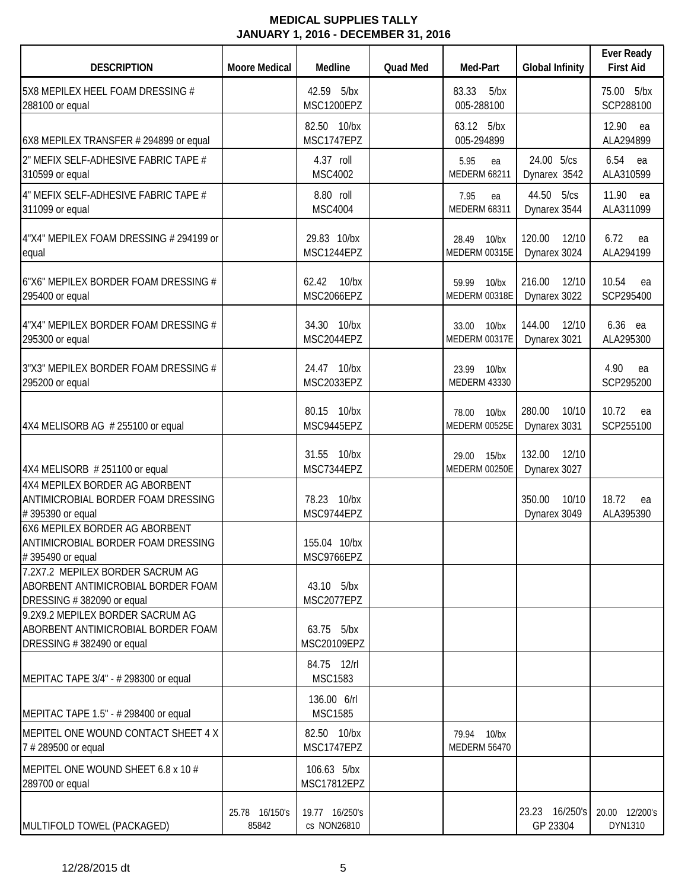| <b>DESCRIPTION</b>                                                                                  | <b>Moore Medical</b>    | Medline                       | <b>Quad Med</b> | Med-Part                                 | <b>Global Infinity</b>          | <b>Ever Ready</b><br><b>First Aid</b> |
|-----------------------------------------------------------------------------------------------------|-------------------------|-------------------------------|-----------------|------------------------------------------|---------------------------------|---------------------------------------|
| 5X8 MEPILEX HEEL FOAM DRESSING #<br>288100 or equal                                                 |                         | 42.59 5/bx<br>MSC1200EPZ      |                 | 83.33<br>5/bx<br>005-288100              |                                 | 75.00 5/bx<br>SCP288100               |
| 6X8 MEPILEX TRANSFER # 294899 or equal                                                              |                         | 82.50 10/bx<br>MSC1747EPZ     |                 | 63.12 5/bx<br>005-294899                 |                                 | 12.90 ea<br>ALA294899                 |
| 2" MEFIX SELF-ADHESIVE FABRIC TAPE #<br>310599 or equal                                             |                         | 4.37 roll<br>MSC4002          |                 | 5.95<br>ea<br><b>MEDERM 68211</b>        | 24.00 5/cs<br>Dynarex 3542      | 6.54 ea<br>ALA310599                  |
| 4" MEFIX SELF-ADHESIVE FABRIC TAPE #<br>311099 or equal                                             |                         | 8.80 roll<br><b>MSC4004</b>   |                 | 7.95<br>ea<br><b>MEDERM 68311</b>        | 44.50 5/cs<br>Dynarex 3544      | 11.90<br>ea<br>ALA311099              |
| 4"X4" MEPILEX FOAM DRESSING # 294199 or<br>equal                                                    |                         | 29.83 10/bx<br>MSC1244EPZ     |                 | 28.49<br>$10$ /bx<br>MEDERM 00315E       | 120.00<br>12/10<br>Dynarex 3024 | 6.72<br>ea<br>ALA294199               |
| 6"X6" MEPILEX BORDER FOAM DRESSING #<br>295400 or equal                                             |                         | 62.42<br>10/bx<br>MSC2066EPZ  |                 | 59.99<br>$10$ /bx<br>MEDERM 00318E       | 216.00<br>12/10<br>Dynarex 3022 | 10.54<br>ea<br>SCP295400              |
| 4"X4" MEPILEX BORDER FOAM DRESSING #<br>295300 or equal                                             |                         | 34.30 10/bx<br>MSC2044EPZ     |                 | 33.00<br>$10$ /bx<br>MEDERM 00317E       | 144.00<br>12/10<br>Dynarex 3021 | 6.36 ea<br>ALA295300                  |
| 3"X3" MEPILEX BORDER FOAM DRESSING #<br>295200 or equal                                             |                         | 24.47 10/bx<br>MSC2033EPZ     |                 | 23.99<br>$10$ /bx<br><b>MEDERM 43330</b> |                                 | 4.90<br>ea<br>SCP295200               |
| 4X4 MELISORB AG # 255100 or equal                                                                   |                         | 80.15 10/bx<br>MSC9445EPZ     |                 | 10/bx<br>78.00<br>MEDERM 00525E          | 280.00<br>10/10<br>Dynarex 3031 | 10.72<br>ea<br>SCP255100              |
| 4X4 MELISORB #251100 or equal                                                                       |                         | 31.55 10/bx<br>MSC7344EPZ     |                 | 29.00<br>$15$ /bx<br>MEDERM 00250E       | 132.00<br>12/10<br>Dynarex 3027 |                                       |
| 4X4 MEPILEX BORDER AG ABORBENT<br>ANTIMICROBIAL BORDER FOAM DRESSING<br>#395390 or equal            |                         | 78.23 10/bx<br>MSC9744EPZ     |                 |                                          | 350.00<br>10/10<br>Dynarex 3049 | 18.72<br>ea<br>ALA395390              |
| 6X6 MEPILEX BORDER AG ABORBENT<br>ANTIMICROBIAL BORDER FOAM DRESSING<br>#395490 or equal            |                         | 155.04 10/bx<br>MSC9766EPZ    |                 |                                          |                                 |                                       |
| 7.2X7.2 MEPILEX BORDER SACRUM AG<br>ABORBENT ANTIMICROBIAL BORDER FOAM<br>DRESSING #382090 or equal |                         | 43.10 5/bx<br>MSC2077EPZ      |                 |                                          |                                 |                                       |
| 9.2X9.2 MEPILEX BORDER SACRUM AG<br>ABORBENT ANTIMICROBIAL BORDER FOAM<br>DRESSING #382490 or equal |                         | 63.75 5/bx<br>MSC20109EPZ     |                 |                                          |                                 |                                       |
| MEPITAC TAPE 3/4" - # 298300 or equal                                                               |                         | 84.75 12/rl<br><b>MSC1583</b> |                 |                                          |                                 |                                       |
| MEPITAC TAPE 1.5" - # 298400 or equal                                                               |                         | 136.00 6/rl<br><b>MSC1585</b> |                 |                                          |                                 |                                       |
| MEPITEL ONE WOUND CONTACT SHEET 4 X<br>7 # 289500 or equal                                          |                         | 82.50 10/bx<br>MSC1747EPZ     |                 | 79.94 10/bx<br><b>MEDERM 56470</b>       |                                 |                                       |
| MEPITEL ONE WOUND SHEET 6.8 x 10 #<br>289700 or equal                                               |                         | 106.63 5/bx<br>MSC17812EPZ    |                 |                                          |                                 |                                       |
| MULTIFOLD TOWEL (PACKAGED)                                                                          | 25.78 16/150's<br>85842 | 19.77 16/250's<br>cs NON26810 |                 |                                          | 23.23 16/250's<br>GP 23304      | 20.00 12/200's<br>DYN1310             |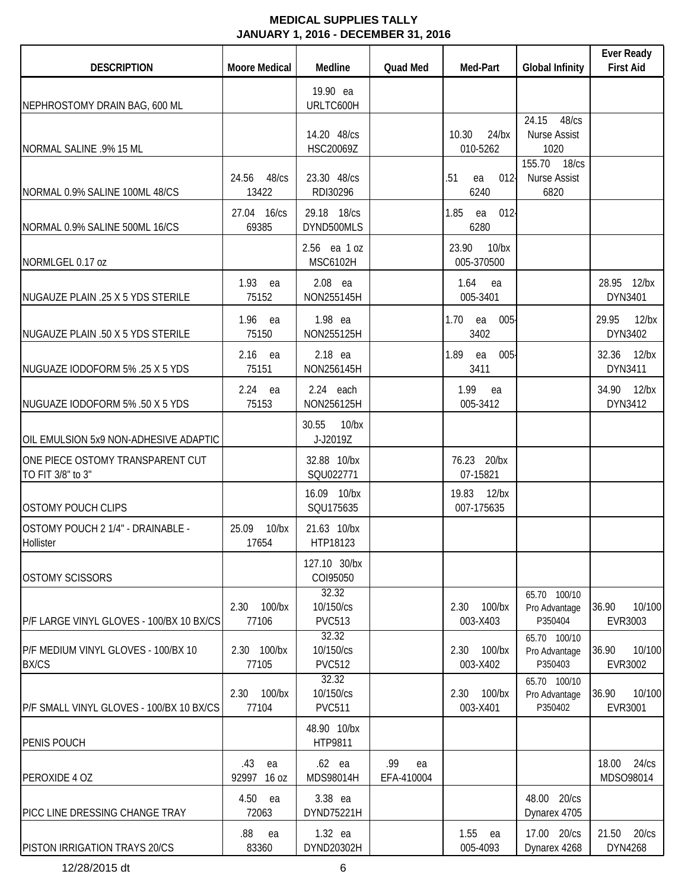| <b>DESCRIPTION</b>                                    | <b>Moore Medical</b>        | Medline                             | <b>Quad Med</b>         | Med-Part                        | <b>Global Infinity</b>                        | <b>Ever Ready</b><br><b>First Aid</b> |
|-------------------------------------------------------|-----------------------------|-------------------------------------|-------------------------|---------------------------------|-----------------------------------------------|---------------------------------------|
| NEPHROSTOMY DRAIN BAG, 600 ML                         |                             | 19.90 ea<br>URLTC600H               |                         |                                 |                                               |                                       |
| NORMAL SALINE .9% 15 ML                               |                             | 14.20 48/cs<br>HSC20069Z            |                         | 10.30<br>$24$ /bx<br>010-5262   | 24.15<br>48/cs<br><b>Nurse Assist</b><br>1020 |                                       |
| NORMAL 0.9% SALINE 100ML 48/CS                        | 24.56 48/cs<br>13422        | 23.30 48/cs<br>RDI30296             |                         | $012 -$<br>.51<br>ea<br>6240    | 155.70 18/cs<br>Nurse Assist<br>6820          |                                       |
| NORMAL 0.9% SALINE 500ML 16/CS                        | 27.04 16/cs<br>69385        | 29.18 18/cs<br>DYND500MLS           |                         | 1.85<br>012<br>ea<br>6280       |                                               |                                       |
| NORMLGEL 0.17 oz                                      |                             | 2.56 ea 1 oz<br><b>MSC6102H</b>     |                         | 23.90<br>$10$ /bx<br>005-370500 |                                               |                                       |
| NUGAUZE PLAIN .25 X 5 YDS STERILE                     | 1.93 ea<br>75152            | $2.08$ ea<br>NON255145H             |                         | 1.64<br>ea<br>005-3401          |                                               | 28.95 12/bx<br>DYN3401                |
| NUGAUZE PLAIN .50 X 5 YDS STERILE                     | 1.96<br>ea<br>75150         | 1.98 ea<br>NON255125H               |                         | 1.70<br>$005 -$<br>ea<br>3402   |                                               | 29.95<br>$12$ /bx<br>DYN3402          |
| NUGUAZE IODOFORM 5% .25 X 5 YDS                       | 2.16<br>ea<br>75151         | 2.18 ea<br>NON256145H               |                         | 1.89<br>ea<br>$005 -$<br>3411   |                                               | 32.36 12/bx<br>DYN3411                |
| NUGUAZE IODOFORM 5% .50 X 5 YDS                       | $2.24$ ea<br>75153          | $2.24$ each<br>NON256125H           |                         | 1.99<br>ea<br>005-3412          |                                               | 34.90 12/bx<br>DYN3412                |
| OIL EMULSION 5x9 NON-ADHESIVE ADAPTIC                 |                             | 30.55<br>$10$ /bx<br>J-J2019Z       |                         |                                 |                                               |                                       |
| ONE PIECE OSTOMY TRANSPARENT CUT<br>TO FIT 3/8" to 3" |                             | 32.88 10/bx<br>SQU022771            |                         | 76.23 20/bx<br>07-15821         |                                               |                                       |
| <b>OSTOMY POUCH CLIPS</b>                             |                             | 16.09 10/bx<br>SQU175635            |                         | $12$ /bx<br>19.83<br>007-175635 |                                               |                                       |
| OSTOMY POUCH 2 1/4" - DRAINABLE -<br>Hollister        | 25.09<br>$10$ /bx<br>17654  | 21.63 10/bx<br>HTP18123             |                         |                                 |                                               |                                       |
| <b>OSTOMY SCISSORS</b>                                |                             | 127.10 30/bx<br>COI95050            |                         |                                 |                                               |                                       |
| P/F LARGE VINYL GLOVES - 100/BX 10 BX/CS              | 2.30<br>$100$ /bx<br>77106  | 32.32<br>10/150/cs<br><b>PVC513</b> |                         | $100$ /bx<br>2.30<br>003-X403   | 65.70 100/10<br>Pro Advantage<br>P350404      | 36.90<br>10/100<br>EVR3003            |
| P/F MEDIUM VINYL GLOVES - 100/BX 10<br><b>BX/CS</b>   | 2.30 100/bx<br>77105        | 32.32<br>10/150/cs<br><b>PVC512</b> |                         | $100$ /bx<br>2.30<br>003-X402   | 65.70 100/10<br>Pro Advantage<br>P350403      | 36.90<br>10/100<br>EVR3002            |
| P/F SMALL VINYL GLOVES - 100/BX 10 BX/CS              | $100$ /bx<br>2.30<br>77104  | 32.32<br>10/150/cs<br><b>PVC511</b> |                         | $100$ /bx<br>2.30<br>003-X401   | 65.70 100/10<br>Pro Advantage<br>P350402      | 36.90<br>10/100<br>EVR3001            |
| PENIS POUCH                                           |                             | 48.90 10/bx<br>HTP9811              |                         |                                 |                                               |                                       |
| PEROXIDE 4 OZ                                         | .43<br>ea<br>92997<br>16 oz | $.62$ ea<br>MDS98014H               | .99<br>ea<br>EFA-410004 |                                 |                                               | 18.00<br>24/cs<br>MDSO98014           |
| PICC LINE DRESSING CHANGE TRAY                        | 4.50<br>ea<br>72063         | 3.38 ea<br>DYND75221H               |                         |                                 | 48.00 20/cs<br>Dynarex 4705                   |                                       |
| PISTON IRRIGATION TRAYS 20/CS                         | .88<br>ea<br>83360          | 1.32 ea<br>DYND20302H               |                         | 1.55<br>ea<br>005-4093          | 17.00 20/cs<br>Dynarex 4268                   | 21.50<br>20/cs<br>DYN4268             |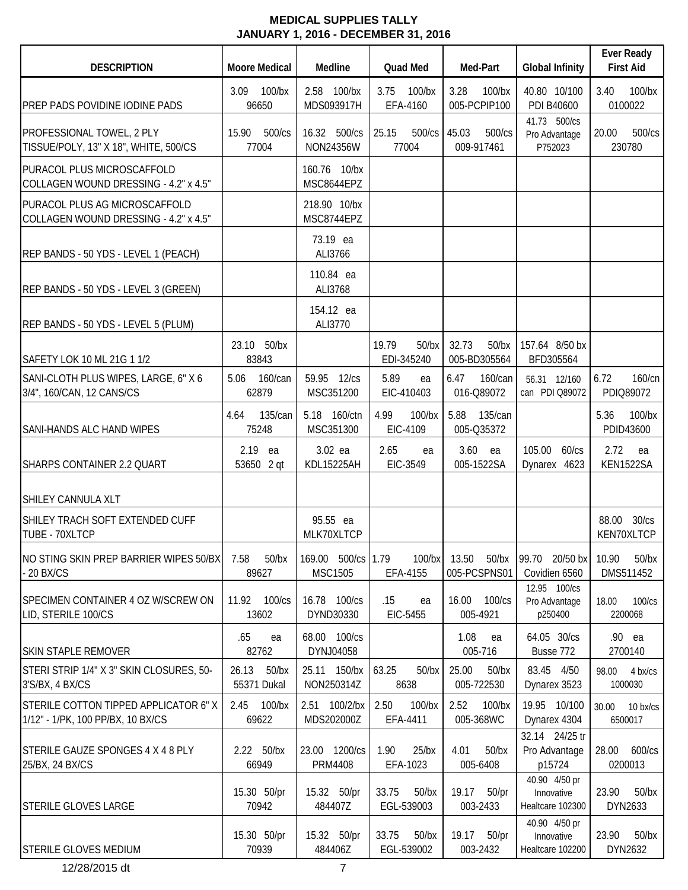| <b>DESCRIPTION</b>                                                        | <b>Moore Medical</b>             | Medline                         | <b>Quad Med</b>                 | Med-Part                          | <b>Global Infinity</b>                          | <b>Ever Ready</b><br><b>First Aid</b> |
|---------------------------------------------------------------------------|----------------------------------|---------------------------------|---------------------------------|-----------------------------------|-------------------------------------------------|---------------------------------------|
| PREP PADS POVIDINE IODINE PADS                                            | 3.09<br>$100$ /bx<br>96650       | 2.58 100/bx<br>MDS093917H       | 3.75<br>$100$ /bx<br>EFA-4160   | 3.28<br>100/bx<br>005-PCPIP100    | 40.80 10/100<br>PDI B40600                      | 3.40<br>100/bx<br>0100022             |
| PROFESSIONAL TOWEL, 2 PLY<br>TISSUE/POLY, 13" X 18", WHITE, 500/CS        | 15.90<br>500/cs<br>77004         | 16.32 500/cs<br>NON24356W       | 25.15<br>500/cs<br>77004        | 45.03<br>500/cs<br>009-917461     | 41.73 500/cs<br>Pro Advantage<br>P752023        | 20.00<br>500/cs<br>230780             |
| PURACOL PLUS MICROSCAFFOLD<br>COLLAGEN WOUND DRESSING - 4.2" x 4.5"       |                                  | 160.76 10/bx<br>MSC8644EPZ      |                                 |                                   |                                                 |                                       |
| PURACOL PLUS AG MICROSCAFFOLD<br>COLLAGEN WOUND DRESSING - 4.2" x 4.5"    |                                  | 218.90 10/bx<br>MSC8744EPZ      |                                 |                                   |                                                 |                                       |
| REP BANDS - 50 YDS - LEVEL 1 (PEACH)                                      |                                  | 73.19 ea<br>ALI3766             |                                 |                                   |                                                 |                                       |
| REP BANDS - 50 YDS - LEVEL 3 (GREEN)                                      |                                  | 110.84 ea<br>ALI3768            |                                 |                                   |                                                 |                                       |
| REP BANDS - 50 YDS - LEVEL 5 (PLUM)                                       |                                  | 154.12 ea<br>ALI3770            |                                 |                                   |                                                 |                                       |
| SAFETY LOK 10 ML 21G 1 1/2                                                | 23.10 50/bx<br>83843             |                                 | 19.79<br>$50$ /bx<br>EDI-345240 | 32.73<br>$50$ /bx<br>005-BD305564 | 157.64 8/50 bx<br>BFD305564                     |                                       |
| SANI-CLOTH PLUS WIPES, LARGE, 6" X 6<br>3/4", 160/CAN, 12 CANS/CS         | 160/can<br>5.06<br>62879         | 59.95 12/cs<br>MSC351200        | 5.89<br>ea<br>EIC-410403        | 6.47<br>160/can<br>016-Q89072     | 56.31 12/160<br>can PDI Q89072                  | 6.72<br>160/cn<br>PDIQ89072           |
| <b>SANI-HANDS ALC HAND WIPES</b>                                          | 135/can<br>4.64<br>75248         | 5.18 160/ctn<br>MSC351300       | 4.99<br>$100$ /bx<br>EIC-4109   | 5.88<br>135/can<br>005-Q35372     |                                                 | 5.36<br>100/bx<br>PDID43600           |
| SHARPS CONTAINER 2.2 QUART                                                | 2.19<br>ea<br>53650<br>2 qt      | 3.02 ea<br>KDL15225AH           | 2.65<br>ea<br>EIC-3549          | 3.60<br>ea<br>005-1522SA          | 105.00<br>60/cs<br>Dynarex 4623                 | 2.72<br>ea<br>KEN1522SA               |
| SHILEY CANNULA XLT                                                        |                                  |                                 |                                 |                                   |                                                 |                                       |
| SHILEY TRACH SOFT EXTENDED CUFF<br>TUBE - 70XLTCP                         |                                  | 95.55 ea<br>MLK70XLTCP          |                                 |                                   |                                                 | 88.00<br>30/cs<br>KEN70XLTCP          |
| NO STING SKIN PREP BARRIER WIPES 50/BX<br>20 BX/CS                        | $50$ /bx<br>7.58<br>89627        | 169.00 500/cs<br><b>MSC1505</b> | 1.79<br>$100$ /bx<br>EFA-4155   | 13.50<br>$50$ /bx<br>005-PCSPNS01 | 99.70 20/50 bx<br>Covidien 6560                 | 10.90<br>$50$ /bx<br>DMS511452        |
| SPECIMEN CONTAINER 4 OZ W/SCREW ON<br>LID, STERILE 100/CS                 | 11.92 100/cs<br>13602            | 16.78 100/cs<br>DYND30330       | .15<br>ea<br>EIC-5455           | 100/cs<br>16.00<br>005-4921       | 12.95 100/cs<br>Pro Advantage<br>p250400        | 100/cs<br>18.00<br>2200068            |
| <b>SKIN STAPLE REMOVER</b>                                                | .65<br>ea<br>82762               | 68.00 100/cs<br>DYNJ04058       |                                 | 1.08<br>ea<br>005-716             | 64.05 30/cs<br>Busse 772                        | .90 ea<br>2700140                     |
| STERI STRIP 1/4" X 3" SKIN CLOSURES, 50-<br>3'S/BX, 4 BX/CS               | 26.13<br>$50$ /bx<br>55371 Dukal | 25.11 150/bx<br>NON250314Z      | 63.25<br>$50$ /bx<br>8638       | 25.00<br>$50$ /bx<br>005-722530   | 83.45 4/50<br>Dynarex 3523                      | 98.00<br>4 bx/cs<br>1000030           |
| STERILE COTTON TIPPED APPLICATOR 6"X<br>1/12" - 1/PK, 100 PP/BX, 10 BX/CS | $100$ /bx<br>2.45<br>69622       | 2.51 100/2/bx<br>MDS202000Z     | 2.50<br>$100$ /bx<br>EFA-4411   | 2.52<br>100/bx<br>005-368WC       | 19.95 10/100<br>Dynarex 4304                    | 30.00<br>10 bx/cs<br>6500017          |
| STERILE GAUZE SPONGES 4 X 4 8 PLY<br>25/BX, 24 BX/CS                      | 2.22 50/bx<br>66949              | 23.00 1200/cs<br><b>PRM4408</b> | 1.90<br>$25$ /bx<br>EFA-1023    | 4.01<br>$50$ /bx<br>005-6408      | 32.14 24/25 tr<br>Pro Advantage<br>p15724       | 28.00<br>600/cs<br>0200013            |
| <b>STERILE GLOVES LARGE</b>                                               | 15.30 50/pr<br>70942             | 15.32 50/pr<br>484407Z          | 33.75<br>$50$ /bx<br>EGL-539003 | 19.17<br>$50$ /pr<br>003-2433     | 40.90 4/50 pr<br>Innovative<br>Healtcare 102300 | 23.90<br>$50$ /bx<br>DYN2633          |
| <b>STERILE GLOVES MEDIUM</b>                                              | 15.30 50/pr<br>70939             | 15.32 50/pr<br>484406Z          | 33.75<br>$50$ /bx<br>EGL-539002 | 19.17<br>$50$ /pr<br>003-2432     | 40.90 4/50 pr<br>Innovative<br>Healtcare 102200 | 23.90<br>$50$ /bx<br>DYN2632          |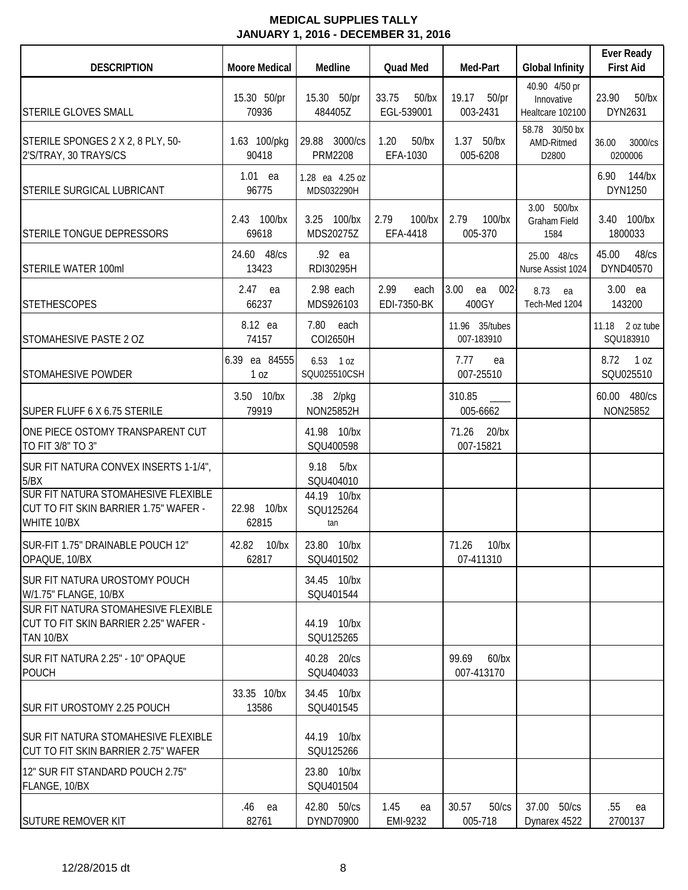| <b>DESCRIPTION</b>                                                                                                                           | <b>Moore Medical</b>             | Medline                                                      | <b>Quad Med</b>                 | Med-Part                        | <b>Global Infinity</b>                          | <b>Ever Ready</b><br><b>First Aid</b> |
|----------------------------------------------------------------------------------------------------------------------------------------------|----------------------------------|--------------------------------------------------------------|---------------------------------|---------------------------------|-------------------------------------------------|---------------------------------------|
| <b>STERILE GLOVES SMALL</b>                                                                                                                  | 15.30 50/pr<br>70936             | 15.30 50/pr<br>484405Z                                       | 33.75<br>$50$ /bx<br>EGL-539001 | 19.17 50/pr<br>003-2431         | 40.90 4/50 pr<br>Innovative<br>Healtcare 102100 | 23.90<br>$50$ /bx<br>DYN2631          |
| STERILE SPONGES 2 X 2, 8 PLY, 50-<br>2'S/TRAY, 30 TRAYS/CS                                                                                   | 1.63 100/pkg<br>90418            | 29.88 3000/cs<br><b>PRM2208</b>                              | 1.20<br>$50$ /bx<br>EFA-1030    | 1.37 50/bx<br>005-6208          | 58.78 30/50 bx<br>AMD-Ritmed<br>D2800           | 36.00<br>3000/cs<br>0200006           |
| <b>STERILE SURGICAL LUBRICANT</b>                                                                                                            | $1.01$ ea<br>96775               | 1.28 ea 4.25 oz<br>MDS032290H                                |                                 |                                 |                                                 | 6.90 144/bx<br>DYN1250                |
| STERILE TONGUE DEPRESSORS                                                                                                                    | 2.43 100/bx<br>69618             | 3.25 100/bx<br>MDS20275Z                                     | 2.79<br>$100$ /bx<br>EFA-4418   | 2.79<br>100/bx<br>005-370       | 3.00 500/bx<br>Graham Field<br>1584             | 3.40 100/bx<br>1800033                |
| <b>STERILE WATER 100ml</b>                                                                                                                   | 24.60 48/cs<br>13423             | .92 ea<br>RDI30295H                                          |                                 |                                 | 25.00 48/cs<br>Nurse Assist 1024                | 45.00<br>48/cs<br>DYND40570           |
| <b>STETHESCOPES</b>                                                                                                                          | 2.47 ea<br>66237                 | 2.98 each<br>MDS926103                                       | 2.99<br>each<br>EDI-7350-BK     | 3.00<br>$002 -$<br>ea<br>400GY  | 8.73<br>ea<br>Tech-Med 1204                     | 3.00 ea<br>143200                     |
| STOMAHESIVE PASTE 2 OZ                                                                                                                       | 8.12 ea<br>74157                 | 7.80 each<br>COI2650H                                        |                                 | 11.96 35/tubes<br>007-183910    |                                                 | 11.18 $2$ oz tube<br>SQU183910        |
| <b>STOMAHESIVE POWDER</b>                                                                                                                    | 6.39 ea 84555<br>1 <sub>0Z</sub> | 6.53 1 oz<br>SQU025510CSH                                    |                                 | 7.77<br>ea<br>007-25510         |                                                 | 8.72<br>1 <sub>oz</sub><br>SQU025510  |
| SUPER FLUFF 6 X 6.75 STERILE                                                                                                                 | 3.50 10/bx<br>79919              | .38 2/pkg<br>NON25852H                                       |                                 | 310.85<br>005-6662              |                                                 | 60.00 480/cs<br>NON25852              |
| ONE PIECE OSTOMY TRANSPARENT CUT<br>TO FIT 3/8" TO 3"                                                                                        |                                  | 41.98 10/bx<br>SQU400598                                     |                                 | 71.26 20/bx<br>007-15821        |                                                 |                                       |
| SUR FIT NATURA CONVEX INSERTS 1-1/4",<br>5/BX<br>SUR FIT NATURA STOMAHESIVE FLEXIBLE<br>CUT TO FIT SKIN BARRIER 1.75" WAFER -<br>WHITE 10/BX | 22.98 10/bx<br>62815             | 9.18<br>5/bx<br>SQU404010<br>44.19 10/bx<br>SQU125264<br>tan |                                 |                                 |                                                 |                                       |
| SUR-FIT 1.75" DRAINABLE POUCH 12"<br>OPAQUE, 10/BX                                                                                           | 42.82<br>$10$ /bx<br>62817       | 23.80 10/bx<br>SQU401502                                     |                                 | $10$ /bx<br>71.26<br>07-411310  |                                                 |                                       |
| <b>SUR FIT NATURA UROSTOMY POUCH</b><br>W/1.75" FLANGE, 10/BX                                                                                |                                  | 34.45 10/bx<br>SQU401544                                     |                                 |                                 |                                                 |                                       |
| <b>SUR FIT NATURA STOMAHESIVE FLEXIBLE</b><br>CUT TO FIT SKIN BARRIER 2.25" WAFER -<br>TAN 10/BX                                             |                                  | 44.19 10/bx<br>SQU125265                                     |                                 |                                 |                                                 |                                       |
| SUR FIT NATURA 2.25" - 10" OPAQUE<br><b>POUCH</b>                                                                                            |                                  | 40.28 20/cs<br>SQU404033                                     |                                 | 99.69<br>$60$ /bx<br>007-413170 |                                                 |                                       |
| SUR FIT UROSTOMY 2.25 POUCH                                                                                                                  | 33.35 10/bx<br>13586             | 34.45 10/bx<br>SQU401545                                     |                                 |                                 |                                                 |                                       |
| <b>SUR FIT NATURA STOMAHESIVE FLEXIBLE</b><br>CUT TO FIT SKIN BARRIER 2.75" WAFER                                                            |                                  | 44.19 10/bx<br>SQU125266                                     |                                 |                                 |                                                 |                                       |
| 12" SUR FIT STANDARD POUCH 2.75"<br>FLANGE, 10/BX                                                                                            |                                  | 23.80 10/bx<br>SQU401504                                     |                                 |                                 |                                                 |                                       |
| <b>SUTURE REMOVER KIT</b>                                                                                                                    | .46 ea<br>82761                  | 42.80 50/cs<br>DYND70900                                     | 1.45<br>ea<br>EMI-9232          | 30.57<br>50/cs<br>005-718       | 37.00 50/cs<br>Dynarex 4522                     | .55<br>ea<br>2700137                  |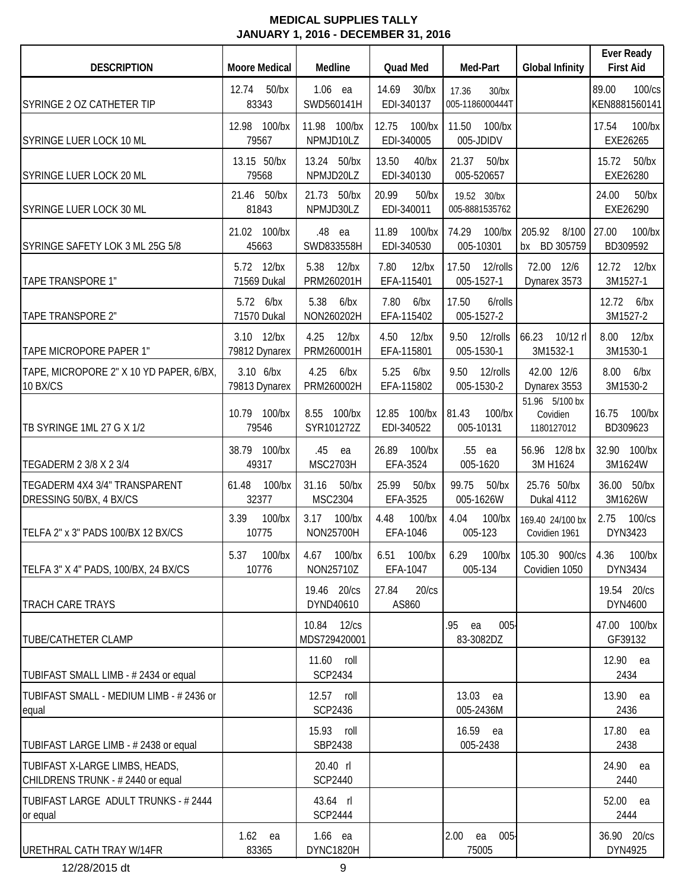| <b>DESCRIPTION</b>                                                 | <b>Moore Medical</b>        | Medline                        | Quad Med                            | Med-Part                          | <b>Global Infinity</b>                   | <b>Ever Ready</b><br><b>First Aid</b> |
|--------------------------------------------------------------------|-----------------------------|--------------------------------|-------------------------------------|-----------------------------------|------------------------------------------|---------------------------------------|
| SYRINGE 2 OZ CATHETER TIP                                          | 12.74<br>$50$ /bx<br>83343  | $1.06$ ea<br>SWD560141H        | 14.69<br>$30$ /bx<br>EDI-340137     | 17.36<br>30/bx<br>005-1186000444T |                                          | 89.00<br>100/cs<br>KEN8881560141      |
| SYRINGE LUER LOCK 10 ML                                            | 12.98 100/bx<br>79567       | 11.98 100/bx<br>NPMJD10LZ      | 12.75<br>$100$ /bx<br>EDI-340005    | 11.50<br>$100$ /bx<br>005-JDIDV   |                                          | 17.54<br>100/bx<br>EXE26265           |
| SYRINGE LUER LOCK 20 ML                                            | 13.15 50/bx<br>79568        | 13.24 50/bx<br>NPMJD20LZ       | 13.50<br>$40$ /bx<br>EDI-340130     | 21.37<br>$50$ /bx<br>005-520657   |                                          | $50$ /bx<br>15.72<br>EXE26280         |
| SYRINGE LUER LOCK 30 ML                                            | 21.46 50/bx<br>81843        | 21.73 50/bx<br>NPMJD30LZ       | 20.99<br>$50$ /bx<br>EDI-340011     | 19.52 30/bx<br>005-8881535762     |                                          | 24.00<br>$50$ /bx<br>EXE26290         |
| SYRINGE SAFETY LOK 3 ML 25G 5/8                                    | 21.02 100/bx<br>45663       | .48<br>ea<br>SWD833558H        | 11.89<br>$100$ /bx<br>EDI-340530    | 74.29<br>100/bx<br>005-10301      | 205.92<br>8/100<br>bx BD 305759          | 27.00<br>$100$ /bx<br>BD309592        |
| TAPE TRANSPORE 1"                                                  | 5.72 12/bx<br>71569 Dukal   | 5.38<br>$12$ /bx<br>PRM260201H | 7.80<br>$12$ /bx<br>EFA-115401      | 12/rolls<br>17.50<br>005-1527-1   | 72.00<br>12/6<br>Dynarex 3573            | 12.72<br>$12$ /bx<br>3M1527-1         |
| <b>TAPE TRANSPORE 2"</b>                                           | 5.72 6/bx<br>71570 Dukal    | 5.38<br>6/bx<br>NON260202H     | 7.80<br>6/bx<br>EFA-115402          | 17.50<br>6/rolls<br>005-1527-2    |                                          | 12.72<br>6/bx<br>3M1527-2             |
| TAPE MICROPORE PAPER 1"                                            | 3.10 12/bx<br>79812 Dynarex | 4.25<br>$12$ /bx<br>PRM260001H | 4.50<br>$12$ /bx<br>EFA-115801      | 9.50<br>12/rolls<br>005-1530-1    | 66.23<br>10/12 rl<br>3M1532-1            | 8.00<br>$12$ /bx<br>3M1530-1          |
| TAPE, MICROPORE 2" X 10 YD PAPER, 6/BX,<br>10 BX/CS                | 3.10 6/bx<br>79813 Dynarex  | 4.25<br>6/bx<br>PRM260002H     | 5.25<br>6/bx<br>EFA-115802          | 12/rolls<br>9.50<br>005-1530-2    | 42.00 12/6<br>Dynarex 3553               | 8.00<br>6/bx<br>3M1530-2              |
| TB SYRINGE 1ML 27 G X 1/2                                          | 10.79 100/bx<br>79546       | 8.55 100/bx<br>SYR101272Z      | 100/bx 81.43<br>12.85<br>EDI-340522 | $100$ /bx<br>005-10131            | 51.96 5/100 bx<br>Covidien<br>1180127012 | 16.75<br>$100$ /bx<br>BD309623        |
| TEGADERM 2 3/8 X 2 3/4                                             | 38.79 100/bx<br>49317       | .45<br>ea<br><b>MSC2703H</b>   | 26.89<br>$100$ /bx<br>EFA-3524      | .55<br>ea<br>005-1620             | 56.96 12/8 bx<br>3M H1624                | 32.90 100/bx<br>3M1624W               |
| TEGADERM 4X4 3/4" TRANSPARENT<br>DRESSING 50/BX, 4 BX/CS           | 61.48<br>$100$ /bx<br>32377 | 31.16<br>$50$ /bx<br>MSC2304   | 25.99<br>$50$ /bx<br>EFA-3525       | 99.75<br>$50$ /bx<br>005-1626W    | 25.76 50/bx<br>Dukal 4112                | 36.00<br>$50$ /bx<br>3M1626W          |
| TELFA 2" x 3" PADS 100/BX 12 BX/CS                                 | 3.39<br>$100$ /bx<br>10775  | 3.17<br>$100$ /bx<br>NON25700H | 4.48<br>$100$ /bx<br>EFA-1046       | 4.04<br>100/bx<br>005-123         | 169.40 24/100 bx<br>Covidien 1961        | 2.75<br>100/cs<br>DYN3423             |
| TELFA 3" X 4" PADS, 100/BX, 24 BX/CS                               | 5.37<br>$100$ /bx<br>10776  | 4.67 100/bx<br>NON25710Z       | 6.51 100/bx<br>EFA-1047             | 6.29<br>$100$ /bx<br>005-134      | 105.30 900/cs<br>Covidien 1050           | 4.36<br>100/bx<br>DYN3434             |
| <b>TRACH CARE TRAYS</b>                                            |                             | 19.46 20/cs<br>DYND40610       | 27.84<br>20/cs<br>AS860             |                                   |                                          | 19.54 20/cs<br>DYN4600                |
| <b>TUBE/CATHETER CLAMP</b>                                         |                             | 10.84 12/cs<br>MDS729420001    |                                     | .95<br>$005 -$<br>ea<br>83-3082DZ |                                          | 47.00 100/bx<br>GF39132               |
| TUBIFAST SMALL LIMB - #2434 or equal                               |                             | 11.60 roll<br><b>SCP2434</b>   |                                     |                                   |                                          | 12.90 ea<br>2434                      |
| TUBIFAST SMALL - MEDIUM LIMB - # 2436 or<br>equal                  |                             | 12.57 roll<br><b>SCP2436</b>   |                                     | 13.03<br>ea<br>005-2436M          |                                          | 13.90 ea<br>2436                      |
| TUBIFAST LARGE LIMB - # 2438 or equal                              |                             | 15.93 roll<br>SBP2438          |                                     | 16.59<br>ea<br>005-2438           |                                          | 17.80 ea<br>2438                      |
| TUBIFAST X-LARGE LIMBS, HEADS,<br>CHILDRENS TRUNK - #2440 or equal |                             | 20.40 rl<br><b>SCP2440</b>     |                                     |                                   |                                          | 24.90 ea<br>2440                      |
| TUBIFAST LARGE ADULT TRUNKS - # 2444<br>or equal                   |                             | 43.64 rl<br><b>SCP2444</b>     |                                     |                                   |                                          | 52.00 ea<br>2444                      |
| URETHRAL CATH TRAY W/14FR                                          | $1.62$ ea<br>83365          | $1.66$ ea<br>DYNC1820H         |                                     | 005<br>2.00<br>ea<br>75005        |                                          | 36.90 20/cs<br>DYN4925                |